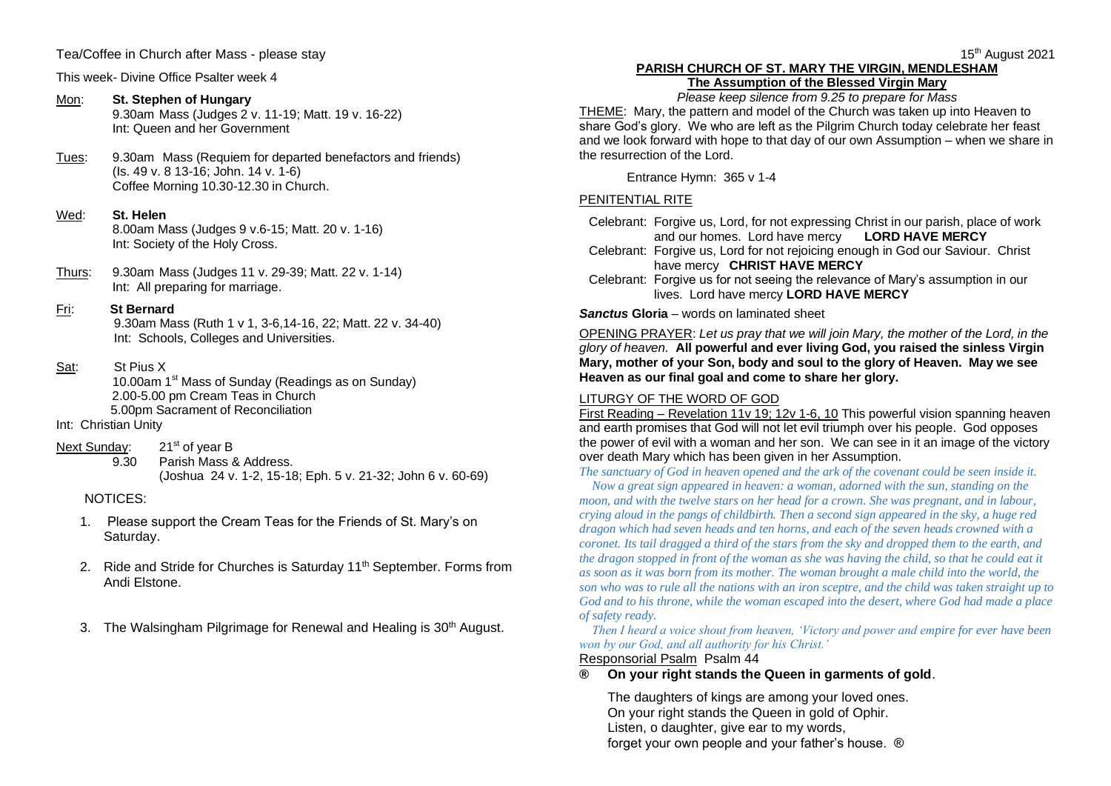### Tea/Coffee in Church after Mass - please stay

This week- Divine Office Psalter week 4

# Mon: **St. Stephen of Hungary**

9.30am Mass (Judges 2 v. 11-19; Matt. 19 v. 16-22) Int: Queen and her Government

- Tues: 9.30am Mass (Requiem for departed benefactors and friends) (Is. 49 v. 8 13-16; John. 14 v. 1-6) Coffee Morning 10.30-12.30 in Church.
- Wed: **St. Helen**

8.00am Mass (Judges 9 v.6-15; Matt. 20 v. 1-16) Int: Society of the Holy Cross.

Thurs: 9.30am Mass (Judges 11 v. 29-39; Matt. 22 v. 1-14) Int: All preparing for marriage.

### Fri:**St Bernard**

 9.30am Mass (Ruth 1 v 1, 3-6,14-16, 22; Matt. 22 v. 34-40) Int: Schools, Colleges and Universities.

Sat: St Pius X

10.00am 1<sup>st</sup> Mass of Sunday (Readings as on Sunday) 2.00-5.00 pm Cream Teas in Church 5.00pm Sacrament of Reconciliation

- Int: Christian Unity
- Next Sunday: 21<sup>st</sup> of year B

9.30 Parish Mass & Address. (Joshua 24 v. 1-2, 15-18; Eph. 5 v. 21-32; John 6 v. 60-69)

### NOTICES:

- 1. Please support the Cream Teas for the Friends of St. Mary's on Saturday.
- 2. Ride and Stride for Churches is Saturday 11<sup>th</sup> September. Forms from Andi Elstone.
- 3. The Walsingham Pilgrimage for Renewal and Healing is 30<sup>th</sup> August.

## **PARISH CHURCH OF ST. MARY THE VIRGIN, MENDLESHAM The Assumption of the Blessed Virgin Mary**

*Please keep silence from 9.25 to prepare for Mass* THEME: Mary, the pattern and model of the Church was taken up into Heaven to share God's glory. We who are left as the Pilgrim Church today celebrate her feast and we look forward with hope to that day of our own Assumption – when we share in the resurrection of the Lord.

Entrance Hymn: 365 v 1-4

### PENITENTIAL RITE

- Celebrant: Forgive us, Lord, for not expressing Christ in our parish, place of work and our homes. Lord have mercy **LORD HAVE MERCY**
- Celebrant: Forgive us, Lord for not rejoicing enough in God our Saviour. Christ have mercy **CHRIST HAVE MERCY**
- Celebrant: Forgive us for not seeing the relevance of Mary's assumption in our lives. Lord have mercy **LORD HAVE MERCY**

#### *Sanctus* **Gloria** – words on laminated sheet

OPENING PRAYER: *Let us pray that we will join Mary, the mother of the Lord, in the glory of heaven.* **All powerful and ever living God, you raised the sinless Virgin Mary, mother of your Son, body and soul to the glory of Heaven. May we see Heaven as our final goal and come to share her glory.**

#### LITURGY OF THE WORD OF GOD

First Reading – Revelation 11v 19; 12v 1-6, 10 This powerful vision spanning heaven and earth promises that God will not let evil triumph over his people. God opposes the power of evil with a woman and her son. We can see in it an image of the victory over death Mary which has been given in her Assumption.

*The sanctuary of God in heaven opened and the ark of the covenant could be seen inside it. Now a great sign appeared in heaven: a woman, adorned with the sun, standing on the moon, and with the twelve stars on her head for a crown. She was pregnant, and in labour, crying aloud in the pangs of childbirth. Then a second sign appeared in the sky, a huge red dragon which had seven heads and ten horns, and each of the seven heads crowned with a coronet. Its tail dragged a third of the stars from the sky and dropped them to the earth, and the dragon stopped in front of the woman as she was having the child, so that he could eat it as soon as it was born from its mother. The woman brought a male child into the world, the son who was to rule all the nations with an iron sceptre, and the child was taken straight up to God and to his throne, while the woman escaped into the desert, where God had made a place of safety ready.*

 *Then I heard a voice shout from heaven, 'Victory and power and empire for ever have been won by our God, and all authority for his Christ.'*

#### Responsorial Psalm Psalm 44

# **® On your right stands the Queen in garments of gold**.

The daughters of kings are among your loved ones. On your right stands the Queen in gold of Ophir. Listen, o daughter, give ear to my words, forget your own people and your father's house. ®